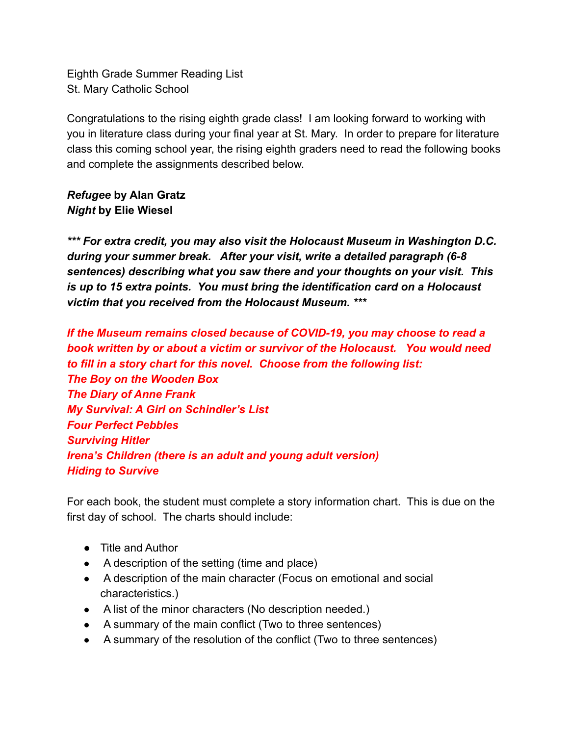Eighth Grade Summer Reading List St. Mary Catholic School

Congratulations to the rising eighth grade class! I am looking forward to working with you in literature class during your final year at St. Mary. In order to prepare for literature class this coming school year, the rising eighth graders need to read the following books and complete the assignments described below.

## *Refugee* **by Alan Gratz** *Night* **by Elie Wiesel**

*\*\*\* For extra credit, you may also visit the Holocaust Museum in Washington D.C. during your summer break. After your visit, write a detailed paragraph (6-8 sentences) describing what you saw there and your thoughts on your visit. This is up to 15 extra points. You must bring the identification card on a Holocaust victim that you received from the Holocaust Museum. \*\*\**

*If the Museum remains closed because of COVID-19, you may choose to read a book written by or about a victim or survivor of the Holocaust. You would need to fill in a story chart for this novel. Choose from the following list: The Boy on the Wooden Box The Diary of Anne Frank My Survival: A Girl on Schindler's List Four Perfect Pebbles Surviving Hitler Irena's Children (there is an adult and young adult version) Hiding to Survive*

For each book, the student must complete a story information chart. This is due on the first day of school. The charts should include:

- Title and Author
- A description of the setting (time and place)
- A description of the main character (Focus on emotional and social characteristics.)
- A list of the minor characters (No description needed.)
- A summary of the main conflict (Two to three sentences)
- A summary of the resolution of the conflict (Two to three sentences)